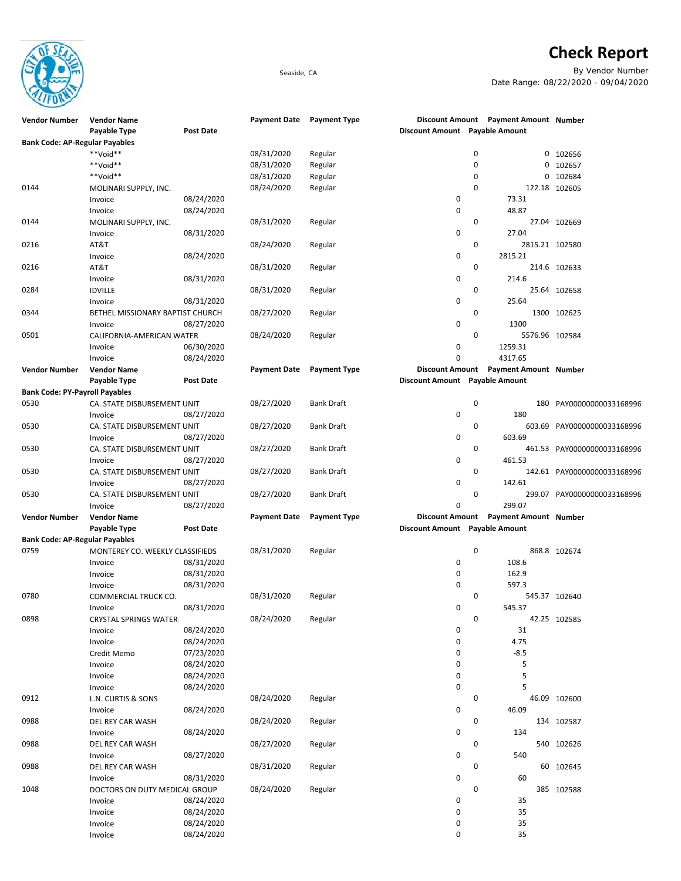

## **Check Report**

Seaside, CA By Vendor Number Date Range: 08/22/2020 - 09/04/2020

| Vendor Number                         | <b>Vendor Name</b><br>Payable Type   | <b>Post Date</b>         |                     | Payment Date Payment Type | Discount Amount Payable Amount |   | Discount Amount Payment Amount Number |                             |
|---------------------------------------|--------------------------------------|--------------------------|---------------------|---------------------------|--------------------------------|---|---------------------------------------|-----------------------------|
| <b>Bank Code: AP-Regular Payables</b> |                                      |                          |                     |                           |                                |   |                                       |                             |
|                                       | **Void**                             |                          | 08/31/2020          | Regular                   |                                | 0 |                                       | 0 102656                    |
|                                       | **Void**                             |                          | 08/31/2020          | Regular                   |                                | 0 |                                       | 0 102657                    |
|                                       | **Void**                             |                          | 08/31/2020          | Regular                   |                                | 0 |                                       | 0 102684                    |
| 0144                                  | MOLINARI SUPPLY, INC.                |                          | 08/24/2020          | Regular                   |                                | 0 |                                       | 122.18 102605               |
|                                       | Invoice                              | 08/24/2020               |                     |                           | 0                              |   | 73.31                                 |                             |
|                                       | Invoice                              | 08/24/2020               |                     |                           | 0                              |   | 48.87                                 |                             |
| 0144                                  | MOLINARI SUPPLY, INC.                |                          | 08/31/2020          | Regular                   |                                | 0 |                                       | 27.04 102669                |
|                                       | Invoice                              | 08/31/2020               |                     |                           | 0                              |   | 27.04                                 |                             |
| 0216                                  | AT&T                                 |                          | 08/24/2020          | Regular                   |                                | 0 | 2815.21 102580                        |                             |
|                                       | Invoice                              | 08/24/2020               |                     |                           | 0                              | 0 | 2815.21                               |                             |
| 0216                                  | AT&T                                 |                          | 08/31/2020          | Regular                   |                                |   |                                       | 214.6 102633                |
|                                       | Invoice                              | 08/31/2020               |                     |                           | 0                              |   | 214.6                                 |                             |
| 0284                                  | <b>IDVILLE</b>                       |                          | 08/31/2020          | Regular                   | 0                              | 0 | 25.64                                 | 25.64 102658                |
|                                       | Invoice                              | 08/31/2020               |                     |                           |                                | 0 |                                       |                             |
| 0344                                  | BETHEL MISSIONARY BAPTIST CHURCH     |                          | 08/27/2020          | Regular                   | 0                              |   | 1300                                  | 1300 102625                 |
| 0501                                  | Invoice                              | 08/27/2020               |                     |                           |                                | 0 | 5576.96 102584                        |                             |
|                                       | CALIFORNIA-AMERICAN WATER<br>Invoice | 06/30/2020               | 08/24/2020          | Regular                   | 0                              |   | 1259.31                               |                             |
|                                       | Invoice                              | 08/24/2020               |                     |                           | 0                              |   | 4317.65                               |                             |
| <b>Vendor Number</b>                  | <b>Vendor Name</b>                   |                          | <b>Payment Date</b> | <b>Payment Type</b>       |                                |   | Discount Amount Payment Amount Number |                             |
|                                       | Payable Type                         | Post Date                |                     |                           | Discount Amount Payable Amount |   |                                       |                             |
| <b>Bank Code: PY-Payroll Payables</b> |                                      |                          |                     |                           |                                |   |                                       |                             |
| 0530                                  | CA. STATE DISBURSEMENT UNIT          |                          | 08/27/2020          | <b>Bank Draft</b>         |                                | 0 | 180                                   | PAY00000000033168996        |
|                                       | Invoice                              | 08/27/2020               |                     |                           | $\mathbf 0$                    |   | 180                                   |                             |
| 0530                                  | CA. STATE DISBURSEMENT UNIT          |                          | 08/27/2020          | <b>Bank Draft</b>         |                                | 0 |                                       | 603.69 PAY00000000033168996 |
|                                       | Invoice                              | 08/27/2020               |                     |                           | 0                              |   | 603.69                                |                             |
| 0530                                  | CA. STATE DISBURSEMENT UNIT          |                          | 08/27/2020          | Bank Draft                |                                | 0 |                                       | 461.53 PAY00000000033168996 |
|                                       | Invoice                              | 08/27/2020               |                     |                           | 0                              |   | 461.53                                |                             |
| 0530                                  | CA. STATE DISBURSEMENT UNIT          |                          | 08/27/2020          | <b>Bank Draft</b>         |                                | 0 |                                       | 142.61 PAY00000000033168996 |
|                                       | Invoice                              | 08/27/2020               |                     |                           | 0                              |   | 142.61                                |                             |
| 0530                                  | CA. STATE DISBURSEMENT UNIT          |                          | 08/27/2020          | <b>Bank Draft</b>         |                                | 0 |                                       | 299.07 PAY00000000033168996 |
|                                       | Invoice                              | 08/27/2020               |                     |                           | 0                              |   | 299.07                                |                             |
| Vendor Number                         | <b>Vendor Name</b>                   |                          | <b>Payment Date</b> | <b>Payment Type</b>       |                                |   | Discount Amount Payment Amount Number |                             |
|                                       | Payable Type                         | <b>Post Date</b>         |                     |                           | Discount Amount Payable Amount |   |                                       |                             |
| <b>Bank Code: AP-Regular Payables</b> |                                      |                          |                     |                           |                                |   |                                       |                             |
| 0759                                  | MONTEREY CO. WEEKLY CLASSIFIEDS      |                          | 08/31/2020          | Regular                   |                                | 0 |                                       | 868.8 102674                |
|                                       | Invoice                              | 08/31/2020               |                     |                           | 0                              |   | 108.6                                 |                             |
|                                       | Invoice                              | 08/31/2020               |                     |                           | 0                              |   | 162.9                                 |                             |
|                                       | Invoice                              | 08/31/2020               |                     |                           | 0                              |   | 597.3                                 |                             |
| 0780                                  | COMMERCIAL TRUCK CO.                 |                          | 08/31/2020          | Regular                   |                                | 0 |                                       | 545.37 102640               |
|                                       | Invoice                              | 08/31/2020               |                     |                           | 0                              |   | 545.37                                |                             |
| 0898                                  | <b>CRYSTAL SPRINGS WATER</b>         |                          | 08/24/2020          | Regular                   |                                | 0 |                                       | 42.25 102585                |
|                                       | Invoice                              | 08/24/2020               |                     |                           | 0                              |   | 31                                    |                             |
|                                       | Invoice                              | 08/24/2020               |                     |                           | 0                              |   | 4.75                                  |                             |
|                                       | Credit Memo                          | 07/23/2020               |                     |                           | 0                              |   | $-8.5$                                |                             |
|                                       | Invoice                              | 08/24/2020               |                     |                           | 0                              |   | 5                                     |                             |
|                                       | Invoice                              | 08/24/2020               |                     |                           | 0                              |   | 5                                     |                             |
|                                       | Invoice                              | 08/24/2020               |                     |                           | 0                              |   | 5                                     |                             |
| 0912                                  | L.N. CURTIS & SONS                   |                          | 08/24/2020          | Regular                   |                                | 0 |                                       | 46.09 102600                |
|                                       | Invoice                              | 08/24/2020               |                     |                           | 0                              |   | 46.09                                 |                             |
| 0988                                  | DEL REY CAR WASH                     |                          | 08/24/2020          | Regular                   |                                | 0 |                                       | 134 102587                  |
|                                       | Invoice                              | 08/24/2020               |                     |                           | 0                              |   | 134                                   |                             |
| 0988                                  | DEL REY CAR WASH                     |                          | 08/27/2020          | Regular                   |                                | 0 |                                       | 540 102626                  |
|                                       | Invoice                              | 08/27/2020               | 08/31/2020          |                           | 0                              | 0 | 540                                   |                             |
| 0988                                  | DEL REY CAR WASH<br>Invoice          | 08/31/2020               |                     | Regular                   | 0                              |   | 60                                    | 60 102645                   |
| 1048                                  | DOCTORS ON DUTY MEDICAL GROUP        |                          | 08/24/2020          | Regular                   |                                | 0 |                                       | 385 102588                  |
|                                       | Invoice                              | 08/24/2020               |                     |                           | 0                              |   | 35                                    |                             |
|                                       | Invoice                              | 08/24/2020               |                     |                           | 0                              |   | 35                                    |                             |
|                                       |                                      |                          |                     |                           |                                |   |                                       |                             |
|                                       |                                      |                          |                     |                           |                                |   |                                       |                             |
|                                       | Invoice<br>Invoice                   | 08/24/2020<br>08/24/2020 |                     |                           | 0<br>0                         |   | 35<br>35                              |                             |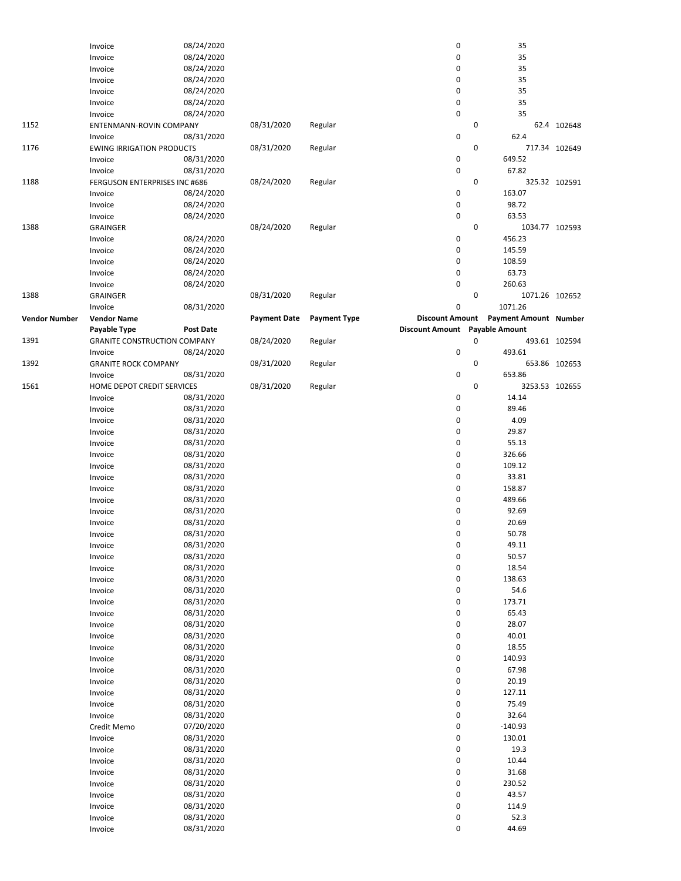|                      | Invoice                          | 08/24/2020                          |                     |                     | 0                              | 35                           |               |
|----------------------|----------------------------------|-------------------------------------|---------------------|---------------------|--------------------------------|------------------------------|---------------|
|                      |                                  |                                     |                     |                     |                                |                              |               |
|                      | Invoice                          | 08/24/2020                          |                     |                     | 0                              | 35                           |               |
|                      | Invoice                          | 08/24/2020                          |                     |                     | 0                              | 35                           |               |
|                      | Invoice                          | 08/24/2020                          |                     |                     | 0                              | 35                           |               |
|                      | Invoice                          | 08/24/2020                          |                     |                     | 0                              | 35                           |               |
|                      | Invoice                          | 08/24/2020                          |                     |                     | 0                              | 35                           |               |
|                      | Invoice                          | 08/24/2020                          |                     |                     | 0                              | 35                           |               |
| 1152                 | ENTENMANN-ROVIN COMPANY          |                                     | 08/31/2020          | Regular             | 0                              |                              | 62.4 102648   |
|                      | Invoice                          | 08/31/2020                          |                     |                     | 0                              | 62.4                         |               |
| 1176                 | <b>EWING IRRIGATION PRODUCTS</b> |                                     | 08/31/2020          | Regular             | 0                              |                              | 717.34 102649 |
|                      |                                  |                                     |                     |                     | 0                              | 649.52                       |               |
|                      | Invoice                          | 08/31/2020                          |                     |                     |                                |                              |               |
|                      | Invoice                          | 08/31/2020                          |                     |                     | 0                              | 67.82                        |               |
| 1188                 | FERGUSON ENTERPRISES INC #686    |                                     | 08/24/2020          | Regular             | 0                              |                              | 325.32 102591 |
|                      | Invoice                          | 08/24/2020                          |                     |                     | $\pmb{0}$                      | 163.07                       |               |
|                      | Invoice                          | 08/24/2020                          |                     |                     | 0                              | 98.72                        |               |
|                      | Invoice                          | 08/24/2020                          |                     |                     | 0                              | 63.53                        |               |
| 1388                 | <b>GRAINGER</b>                  |                                     | 08/24/2020          | Regular             | 0                              | 1034.77 102593               |               |
|                      |                                  |                                     |                     |                     |                                |                              |               |
|                      | Invoice                          | 08/24/2020                          |                     |                     | 0                              | 456.23                       |               |
|                      | Invoice                          | 08/24/2020                          |                     |                     | 0                              | 145.59                       |               |
|                      | Invoice                          | 08/24/2020                          |                     |                     | 0                              | 108.59                       |               |
|                      | Invoice                          | 08/24/2020                          |                     |                     | 0                              | 63.73                        |               |
|                      | Invoice                          | 08/24/2020                          |                     |                     | 0                              | 260.63                       |               |
| 1388                 | <b>GRAINGER</b>                  |                                     | 08/31/2020          | Regular             | 0                              | 1071.26 102652               |               |
|                      | Invoice                          | 08/31/2020                          |                     |                     | 0                              | 1071.26                      |               |
|                      |                                  |                                     |                     |                     |                                |                              |               |
| <b>Vendor Number</b> | <b>Vendor Name</b>               |                                     | <b>Payment Date</b> | <b>Payment Type</b> | <b>Discount Amount</b>         | <b>Payment Amount Number</b> |               |
|                      | Payable Type                     | <b>Post Date</b>                    |                     |                     | Discount Amount Payable Amount |                              |               |
| 1391                 |                                  | <b>GRANITE CONSTRUCTION COMPANY</b> | 08/24/2020          | Regular             | 0                              |                              | 493.61 102594 |
|                      | Invoice                          | 08/24/2020                          |                     |                     | 0                              | 493.61                       |               |
| 1392                 | <b>GRANITE ROCK COMPANY</b>      |                                     | 08/31/2020          | Regular             | 0                              |                              | 653.86 102653 |
|                      | Invoice                          | 08/31/2020                          |                     |                     | 0                              | 653.86                       |               |
| 1561                 | HOME DEPOT CREDIT SERVICES       |                                     | 08/31/2020          | Regular             | 0                              | 3253.53 102655               |               |
|                      |                                  |                                     |                     |                     |                                |                              |               |
|                      | Invoice                          | 08/31/2020                          |                     |                     | 0                              | 14.14                        |               |
|                      | Invoice                          | 08/31/2020                          |                     |                     | 0                              | 89.46                        |               |
|                      | Invoice                          | 08/31/2020                          |                     |                     | 0                              | 4.09                         |               |
|                      | Invoice                          | 08/31/2020                          |                     |                     | 0                              | 29.87                        |               |
|                      | Invoice                          | 08/31/2020                          |                     |                     | 0                              | 55.13                        |               |
|                      | Invoice                          | 08/31/2020                          |                     |                     | 0                              | 326.66                       |               |
|                      |                                  |                                     |                     |                     | 0                              |                              |               |
|                      | Invoice                          | 08/31/2020                          |                     |                     |                                | 109.12                       |               |
|                      | Invoice                          | 08/31/2020                          |                     |                     | 0                              | 33.81                        |               |
|                      | Invoice                          | 08/31/2020                          |                     |                     | 0                              | 158.87                       |               |
|                      | Invoice                          | 08/31/2020                          |                     |                     | 0                              | 489.66                       |               |
|                      | Invoice                          | 08/31/2020                          |                     |                     | 0                              | 92.69                        |               |
|                      | Invoice                          | 08/31/2020                          |                     |                     | 0                              | 20.69                        |               |
|                      | Invoice                          | 08/31/2020                          |                     |                     | 0                              | 50.78                        |               |
|                      |                                  |                                     |                     |                     |                                |                              |               |
|                      | Invoice                          | 08/31/2020                          |                     |                     | 0                              | 49.11                        |               |
|                      | Invoice                          | 08/31/2020                          |                     |                     | $\pmb{0}$                      | 50.57                        |               |
|                      | Invoice                          | 08/31/2020                          |                     |                     | 0                              | 18.54                        |               |
|                      | Invoice                          | 08/31/2020                          |                     |                     | 0                              | 138.63                       |               |
|                      | Invoice                          | 08/31/2020                          |                     |                     | 0                              | 54.6                         |               |
|                      | Invoice                          | 08/31/2020                          |                     |                     | 0                              | 173.71                       |               |
|                      | Invoice                          | 08/31/2020                          |                     |                     | 0                              | 65.43                        |               |
|                      |                                  |                                     |                     |                     |                                | 28.07                        |               |
|                      | Invoice                          | 08/31/2020                          |                     |                     | 0                              |                              |               |
|                      | Invoice                          | 08/31/2020                          |                     |                     | 0                              | 40.01                        |               |
|                      | Invoice                          | 08/31/2020                          |                     |                     | $\pmb{0}$                      | 18.55                        |               |
|                      | Invoice                          | 08/31/2020                          |                     |                     | 0                              | 140.93                       |               |
|                      | Invoice                          | 08/31/2020                          |                     |                     | 0                              | 67.98                        |               |
|                      | Invoice                          | 08/31/2020                          |                     |                     | 0                              | 20.19                        |               |
|                      | Invoice                          | 08/31/2020                          |                     |                     | 0                              | 127.11                       |               |
|                      |                                  |                                     |                     |                     |                                |                              |               |
|                      | Invoice                          | 08/31/2020                          |                     |                     | 0                              | 75.49                        |               |
|                      | Invoice                          | 08/31/2020                          |                     |                     | 0                              | 32.64                        |               |
|                      | Credit Memo                      | 07/20/2020                          |                     |                     | 0                              | $-140.93$                    |               |
|                      | Invoice                          | 08/31/2020                          |                     |                     | 0                              | 130.01                       |               |
|                      | Invoice                          | 08/31/2020                          |                     |                     | 0                              | 19.3                         |               |
|                      | Invoice                          | 08/31/2020                          |                     |                     | 0                              | 10.44                        |               |
|                      |                                  | 08/31/2020                          |                     |                     | 0                              | 31.68                        |               |
|                      | Invoice                          |                                     |                     |                     |                                |                              |               |
|                      | Invoice                          | 08/31/2020                          |                     |                     | 0                              | 230.52                       |               |
|                      | Invoice                          | 08/31/2020                          |                     |                     | 0                              | 43.57                        |               |
|                      | Invoice                          | 08/31/2020                          |                     |                     | 0                              | 114.9                        |               |
|                      | Invoice                          | 08/31/2020                          |                     |                     | $\pmb{0}$                      | 52.3                         |               |
|                      | Invoice                          | 08/31/2020                          |                     |                     | 0                              | 44.69                        |               |
|                      |                                  |                                     |                     |                     |                                |                              |               |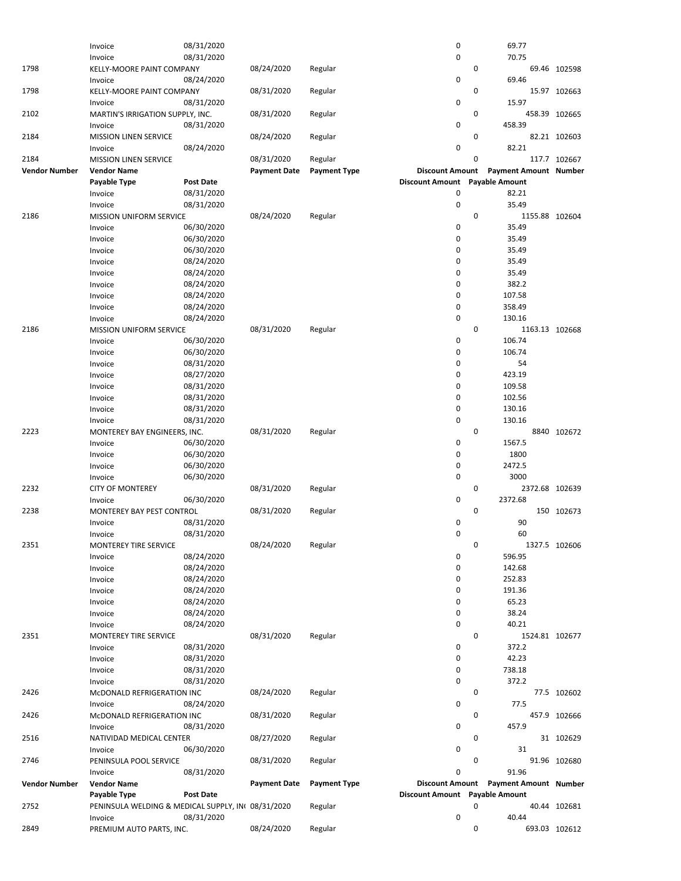|                      | Invoice                                            | 08/31/2020       |                     |                     | 0                              |   | 69.77                        |               |
|----------------------|----------------------------------------------------|------------------|---------------------|---------------------|--------------------------------|---|------------------------------|---------------|
|                      | Invoice                                            | 08/31/2020       |                     |                     | 0                              |   | 70.75                        |               |
| 1798                 | KELLY-MOORE PAINT COMPANY                          |                  | 08/24/2020          | Regular             |                                | 0 |                              | 69.46 102598  |
|                      | Invoice                                            | 08/24/2020       |                     |                     | 0                              |   | 69.46                        |               |
| 1798                 | KELLY-MOORE PAINT COMPANY                          |                  |                     |                     |                                | 0 |                              | 15.97 102663  |
|                      |                                                    |                  | 08/31/2020          | Regular             |                                |   |                              |               |
|                      | Invoice                                            | 08/31/2020       |                     |                     | 0                              |   | 15.97                        |               |
| 2102                 | MARTIN'S IRRIGATION SUPPLY, INC.                   |                  | 08/31/2020          | Regular             |                                | 0 |                              | 458.39 102665 |
|                      | Invoice                                            | 08/31/2020       |                     |                     | 0                              |   | 458.39                       |               |
| 2184                 | <b>MISSION LINEN SERVICE</b>                       |                  | 08/24/2020          | Regular             |                                | 0 |                              | 82.21 102603  |
|                      | Invoice                                            | 08/24/2020       |                     |                     | 0                              |   | 82.21                        |               |
| 2184                 | <b>MISSION LINEN SERVICE</b>                       |                  | 08/31/2020          | Regular             |                                | 0 |                              | 117.7 102667  |
|                      |                                                    |                  | <b>Payment Date</b> | <b>Payment Type</b> | <b>Discount Amount</b>         |   | <b>Payment Amount Number</b> |               |
| <b>Vendor Number</b> | <b>Vendor Name</b>                                 |                  |                     |                     |                                |   |                              |               |
|                      | Payable Type                                       | <b>Post Date</b> |                     |                     | <b>Discount Amount</b>         |   | <b>Payable Amount</b>        |               |
|                      | Invoice                                            | 08/31/2020       |                     |                     | 0                              |   | 82.21                        |               |
|                      | Invoice                                            | 08/31/2020       |                     |                     | 0                              |   | 35.49                        |               |
| 2186                 | <b>MISSION UNIFORM SERVICE</b>                     |                  | 08/24/2020          | Regular             |                                | 0 | 1155.88 102604               |               |
|                      | Invoice                                            | 06/30/2020       |                     |                     | 0                              |   | 35.49                        |               |
|                      | Invoice                                            | 06/30/2020       |                     |                     | 0                              |   | 35.49                        |               |
|                      | Invoice                                            | 06/30/2020       |                     |                     | 0                              |   | 35.49                        |               |
|                      |                                                    |                  |                     |                     |                                |   |                              |               |
|                      | Invoice                                            | 08/24/2020       |                     |                     | 0                              |   | 35.49                        |               |
|                      | Invoice                                            | 08/24/2020       |                     |                     | 0                              |   | 35.49                        |               |
|                      | Invoice                                            | 08/24/2020       |                     |                     | 0                              |   | 382.2                        |               |
|                      | Invoice                                            | 08/24/2020       |                     |                     | 0                              |   | 107.58                       |               |
|                      | Invoice                                            | 08/24/2020       |                     |                     | 0                              |   | 358.49                       |               |
|                      | Invoice                                            | 08/24/2020       |                     |                     | 0                              |   | 130.16                       |               |
| 2186                 | <b>MISSION UNIFORM SERVICE</b>                     |                  | 08/31/2020          | Regular             |                                | 0 | 1163.13 102668               |               |
|                      |                                                    |                  |                     |                     |                                |   |                              |               |
|                      | Invoice                                            | 06/30/2020       |                     |                     | 0                              |   | 106.74                       |               |
|                      | Invoice                                            | 06/30/2020       |                     |                     | 0                              |   | 106.74                       |               |
|                      | Invoice                                            | 08/31/2020       |                     |                     | 0                              |   | 54                           |               |
|                      | Invoice                                            | 08/27/2020       |                     |                     | 0                              |   | 423.19                       |               |
|                      | Invoice                                            | 08/31/2020       |                     |                     | 0                              |   | 109.58                       |               |
|                      | Invoice                                            | 08/31/2020       |                     |                     | 0                              |   | 102.56                       |               |
|                      |                                                    | 08/31/2020       |                     |                     | 0                              |   | 130.16                       |               |
|                      | Invoice                                            |                  |                     |                     |                                |   |                              |               |
|                      | Invoice                                            | 08/31/2020       |                     |                     | 0                              |   | 130.16                       |               |
| 2223                 | MONTEREY BAY ENGINEERS, INC.                       |                  | 08/31/2020          | Regular             |                                | 0 |                              | 8840 102672   |
|                      | Invoice                                            | 06/30/2020       |                     |                     | 0                              |   | 1567.5                       |               |
|                      | Invoice                                            | 06/30/2020       |                     |                     | 0                              |   | 1800                         |               |
|                      | Invoice                                            | 06/30/2020       |                     |                     | 0                              |   | 2472.5                       |               |
|                      | Invoice                                            | 06/30/2020       |                     |                     | 0                              |   | 3000                         |               |
| 2232                 |                                                    |                  |                     |                     |                                | 0 | 2372.68 102639               |               |
|                      | <b>CITY OF MONTEREY</b>                            |                  | 08/31/2020          | Regular             |                                |   |                              |               |
|                      | Invoice                                            | 06/30/2020       |                     |                     | 0                              |   | 2372.68                      |               |
| 2238                 | MONTEREY BAY PEST CONTROL                          |                  | 08/31/2020          | Regular             |                                | 0 |                              | 150 102673    |
|                      | Invoice                                            | 08/31/2020       |                     |                     | 0                              |   | 90                           |               |
|                      | Invoice                                            | 08/31/2020       |                     |                     | 0                              |   | 60                           |               |
| 2351                 | MONTEREY TIRE SERVICE                              |                  | 08/24/2020          | Regular             |                                | 0 |                              | 1327.5 102606 |
|                      | Invoice                                            | 08/24/2020       |                     |                     | 0                              |   | 596.95                       |               |
|                      | Invoice                                            | 08/24/2020       |                     |                     | 0                              |   | 142.68                       |               |
|                      |                                                    |                  |                     |                     |                                |   |                              |               |
|                      | Invoice                                            | 08/24/2020       |                     |                     | 0                              |   | 252.83                       |               |
|                      | Invoice                                            | 08/24/2020       |                     |                     | 0                              |   | 191.36                       |               |
|                      | Invoice                                            | 08/24/2020       |                     |                     | 0                              |   | 65.23                        |               |
|                      | Invoice                                            | 08/24/2020       |                     |                     | 0                              |   | 38.24                        |               |
|                      | Invoice                                            | 08/24/2020       |                     |                     | 0                              |   | 40.21                        |               |
| 2351                 | MONTEREY TIRE SERVICE                              |                  | 08/31/2020          | Regular             |                                | 0 | 1524.81 102677               |               |
|                      | Invoice                                            | 08/31/2020       |                     |                     | 0                              |   | 372.2                        |               |
|                      |                                                    |                  |                     |                     |                                |   |                              |               |
|                      | Invoice                                            | 08/31/2020       |                     |                     | 0                              |   | 42.23                        |               |
|                      | Invoice                                            | 08/31/2020       |                     |                     | 0                              |   | 738.18                       |               |
|                      | Invoice                                            | 08/31/2020       |                     |                     | 0                              |   | 372.2                        |               |
| 2426                 | McDONALD REFRIGERATION INC                         |                  | 08/24/2020          | Regular             |                                | 0 |                              | 77.5 102602   |
|                      | Invoice                                            | 08/24/2020       |                     |                     | 0                              |   | 77.5                         |               |
| 2426                 | McDONALD REFRIGERATION INC                         |                  | 08/31/2020          | Regular             |                                | 0 |                              | 457.9 102666  |
|                      | Invoice                                            | 08/31/2020       |                     |                     | 0                              |   | 457.9                        |               |
|                      |                                                    |                  |                     |                     |                                |   |                              |               |
| 2516                 | NATIVIDAD MEDICAL CENTER                           |                  | 08/27/2020          | Regular             |                                | 0 |                              | 31 102629     |
|                      | Invoice                                            | 06/30/2020       |                     |                     | 0                              |   | 31                           |               |
| 2746                 | PENINSULA POOL SERVICE                             |                  | 08/31/2020          | Regular             |                                | 0 |                              | 91.96 102680  |
|                      | Invoice                                            | 08/31/2020       |                     |                     | 0                              |   | 91.96                        |               |
| <b>Vendor Number</b> | <b>Vendor Name</b>                                 |                  | <b>Payment Date</b> | <b>Payment Type</b> | <b>Discount Amount</b>         |   | <b>Payment Amount Number</b> |               |
|                      | Payable Type                                       | Post Date        |                     |                     | Discount Amount Payable Amount |   |                              |               |
| 2752                 | PENINSULA WELDING & MEDICAL SUPPLY, IN( 08/31/2020 |                  |                     | Regular             |                                | 0 |                              | 40.44 102681  |
|                      | Invoice                                            | 08/31/2020       |                     |                     | 0                              |   | 40.44                        |               |
| 2849                 |                                                    |                  |                     |                     |                                | 0 |                              |               |
|                      | PREMIUM AUTO PARTS, INC.                           |                  | 08/24/2020          | Regular             |                                |   |                              | 693.03 102612 |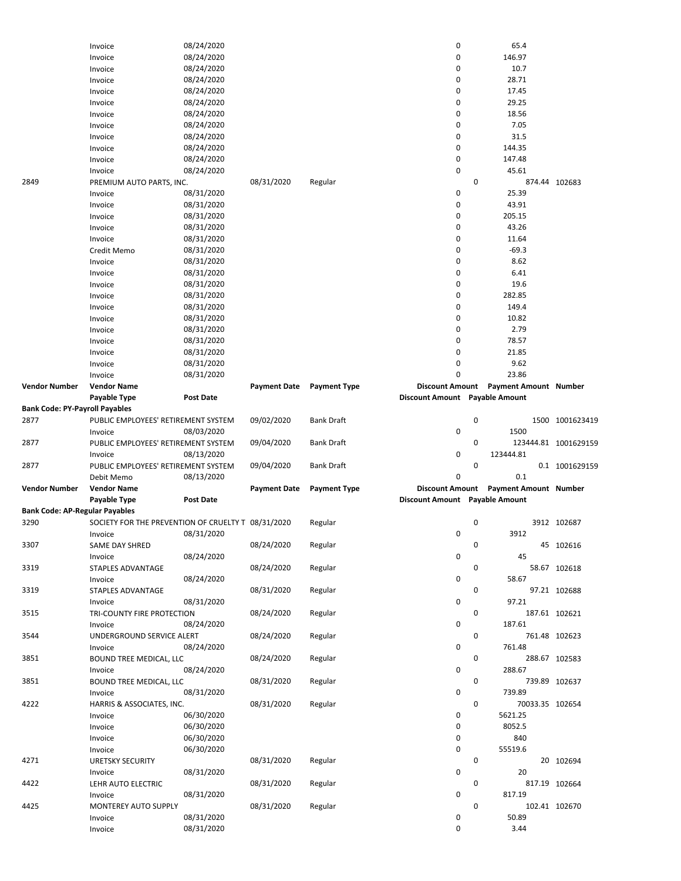|                                       | Invoice                                            | 08/24/2020       |                     |                     | 0                      |   | 65.4                         |                      |
|---------------------------------------|----------------------------------------------------|------------------|---------------------|---------------------|------------------------|---|------------------------------|----------------------|
|                                       | Invoice                                            | 08/24/2020       |                     |                     | 0                      |   | 146.97                       |                      |
|                                       | Invoice                                            | 08/24/2020       |                     |                     | 0                      |   | 10.7                         |                      |
|                                       | Invoice                                            | 08/24/2020       |                     |                     | 0                      |   | 28.71                        |                      |
|                                       |                                                    |                  |                     |                     | 0                      |   | 17.45                        |                      |
|                                       | Invoice                                            | 08/24/2020       |                     |                     |                        |   |                              |                      |
|                                       | Invoice                                            | 08/24/2020       |                     |                     | 0                      |   | 29.25                        |                      |
|                                       | Invoice                                            | 08/24/2020       |                     |                     | 0                      |   | 18.56                        |                      |
|                                       | Invoice                                            | 08/24/2020       |                     |                     | 0                      |   | 7.05                         |                      |
|                                       | Invoice                                            | 08/24/2020       |                     |                     | 0                      |   | 31.5                         |                      |
|                                       | Invoice                                            | 08/24/2020       |                     |                     | 0                      |   | 144.35                       |                      |
|                                       | Invoice                                            | 08/24/2020       |                     |                     | 0                      |   | 147.48                       |                      |
|                                       | Invoice                                            | 08/24/2020       |                     |                     | 0                      |   | 45.61                        |                      |
| 2849                                  | PREMIUM AUTO PARTS, INC.                           |                  | 08/31/2020          | Regular             |                        | 0 |                              | 874.44 102683        |
|                                       |                                                    |                  |                     |                     |                        |   |                              |                      |
|                                       | Invoice                                            | 08/31/2020       |                     |                     | 0                      |   | 25.39                        |                      |
|                                       | Invoice                                            | 08/31/2020       |                     |                     | 0                      |   | 43.91                        |                      |
|                                       | Invoice                                            | 08/31/2020       |                     |                     | 0                      |   | 205.15                       |                      |
|                                       | Invoice                                            | 08/31/2020       |                     |                     | 0                      |   | 43.26                        |                      |
|                                       | Invoice                                            | 08/31/2020       |                     |                     | 0                      |   | 11.64                        |                      |
|                                       | Credit Memo                                        | 08/31/2020       |                     |                     | 0                      |   | $-69.3$                      |                      |
|                                       | Invoice                                            | 08/31/2020       |                     |                     | 0                      |   | 8.62                         |                      |
|                                       | Invoice                                            | 08/31/2020       |                     |                     | 0                      |   | 6.41                         |                      |
|                                       |                                                    |                  |                     |                     |                        |   |                              |                      |
|                                       | Invoice                                            | 08/31/2020       |                     |                     | 0                      |   | 19.6                         |                      |
|                                       | Invoice                                            | 08/31/2020       |                     |                     | 0                      |   | 282.85                       |                      |
|                                       | Invoice                                            | 08/31/2020       |                     |                     | 0                      |   | 149.4                        |                      |
|                                       | Invoice                                            | 08/31/2020       |                     |                     | 0                      |   | 10.82                        |                      |
|                                       | Invoice                                            | 08/31/2020       |                     |                     | 0                      |   | 2.79                         |                      |
|                                       | Invoice                                            | 08/31/2020       |                     |                     | 0                      |   | 78.57                        |                      |
|                                       | Invoice                                            | 08/31/2020       |                     |                     | 0                      |   | 21.85                        |                      |
|                                       | Invoice                                            | 08/31/2020       |                     |                     | 0                      |   | 9.62                         |                      |
|                                       |                                                    |                  |                     |                     | 0                      |   |                              |                      |
|                                       | Invoice                                            | 08/31/2020       |                     |                     |                        |   | 23.86                        |                      |
| <b>Vendor Number</b>                  | <b>Vendor Name</b>                                 |                  | <b>Payment Date</b> | <b>Payment Type</b> | <b>Discount Amount</b> |   | <b>Payment Amount Number</b> |                      |
|                                       | Payable Type                                       | Post Date        |                     |                     | <b>Discount Amount</b> |   | <b>Payable Amount</b>        |                      |
| Bank Code: PY-Payroll Payables        |                                                    |                  |                     |                     |                        |   |                              |                      |
| 2877                                  | PUBLIC EMPLOYEES' RETIREMENT SYSTEM                |                  | 09/02/2020          | <b>Bank Draft</b>   |                        | 0 |                              | 1500 1001623419      |
|                                       | Invoice                                            | 08/03/2020       |                     |                     | 0                      |   | 1500                         |                      |
| 2877                                  | PUBLIC EMPLOYEES' RETIREMENT SYSTEM                |                  | 09/04/2020          | <b>Bank Draft</b>   |                        | 0 |                              | 123444.81 1001629159 |
|                                       | Invoice                                            | 08/13/2020       |                     |                     |                        |   | 123444.81                    |                      |
|                                       |                                                    |                  |                     |                     |                        |   |                              |                      |
|                                       |                                                    |                  |                     |                     | 0                      |   |                              |                      |
| 2877                                  | PUBLIC EMPLOYEES' RETIREMENT SYSTEM                |                  | 09/04/2020          | <b>Bank Draft</b>   |                        | 0 |                              | 0.1 1001629159       |
|                                       | Debit Memo                                         | 08/13/2020       |                     |                     | 0                      |   | 0.1                          |                      |
| Vendor Number                         | <b>Vendor Name</b>                                 |                  | <b>Payment Date</b> | <b>Payment Type</b> | <b>Discount Amount</b> |   | <b>Payment Amount Number</b> |                      |
|                                       | Payable Type                                       | <b>Post Date</b> |                     |                     | <b>Discount Amount</b> |   | <b>Payable Amount</b>        |                      |
| <b>Bank Code: AP-Regular Payables</b> |                                                    |                  |                     |                     |                        |   |                              |                      |
| 3290                                  | SOCIETY FOR THE PREVENTION OF CRUELTY T 08/31/2020 |                  |                     | Regular             |                        | 0 |                              | 3912 102687          |
|                                       |                                                    |                  |                     |                     |                        |   |                              |                      |
|                                       | Invoice                                            | 08/31/2020       |                     |                     | 0                      |   | 3912                         |                      |
| 3307                                  | SAME DAY SHRED                                     |                  | 08/24/2020          | Regular             |                        | 0 |                              | 45 102616            |
|                                       | Invoice                                            | 08/24/2020       |                     |                     | 0                      |   | 45                           |                      |
| 3319                                  | STAPLES ADVANTAGE                                  |                  | 08/24/2020          | Regular             |                        | 0 |                              | 58.67 102618         |
|                                       | Invoice                                            | 08/24/2020       |                     |                     | 0                      |   | 58.67                        |                      |
| 3319                                  | STAPLES ADVANTAGE                                  |                  | 08/31/2020          | Regular             |                        | 0 |                              | 97.21 102688         |
|                                       | Invoice                                            | 08/31/2020       |                     |                     | 0                      |   | 97.21                        |                      |
| 3515                                  | TRI-COUNTY FIRE PROTECTION                         |                  | 08/24/2020          | Regular             |                        | 0 |                              | 187.61 102621        |
|                                       |                                                    |                  |                     |                     |                        |   |                              |                      |
|                                       | Invoice                                            | 08/24/2020       |                     |                     | 0                      |   | 187.61                       |                      |
| 3544                                  | UNDERGROUND SERVICE ALERT                          |                  | 08/24/2020          | Regular             |                        | 0 |                              | 761.48 102623        |
|                                       | Invoice                                            | 08/24/2020       |                     |                     | 0                      |   | 761.48                       |                      |
| 3851                                  | BOUND TREE MEDICAL, LLC                            |                  | 08/24/2020          | Regular             |                        | 0 |                              | 288.67 102583        |
|                                       | Invoice                                            | 08/24/2020       |                     |                     | 0                      |   | 288.67                       |                      |
| 3851                                  | BOUND TREE MEDICAL, LLC                            |                  | 08/31/2020          | Regular             |                        | 0 |                              | 739.89 102637        |
|                                       | Invoice                                            | 08/31/2020       |                     |                     | 0                      |   | 739.89                       |                      |
| 4222                                  | HARRIS & ASSOCIATES, INC.                          |                  | 08/31/2020          | Regular             |                        | 0 | 70033.35 102654              |                      |
|                                       |                                                    | 06/30/2020       |                     |                     | 0                      |   | 5621.25                      |                      |
|                                       | Invoice                                            |                  |                     |                     | 0                      |   | 8052.5                       |                      |
|                                       | Invoice                                            | 06/30/2020       |                     |                     |                        |   |                              |                      |
|                                       | Invoice                                            | 06/30/2020       |                     |                     | 0                      |   | 840                          |                      |
|                                       | Invoice                                            | 06/30/2020       |                     |                     | 0                      |   | 55519.6                      |                      |
| 4271                                  | <b>URETSKY SECURITY</b>                            |                  | 08/31/2020          | Regular             |                        | 0 |                              | 20 102694            |
|                                       | Invoice                                            | 08/31/2020       |                     |                     | 0                      |   | 20                           |                      |
| 4422                                  | LEHR AUTO ELECTRIC                                 |                  | 08/31/2020          | Regular             |                        | 0 |                              | 817.19 102664        |
|                                       | Invoice                                            | 08/31/2020       |                     |                     | 0                      |   | 817.19                       |                      |
| 4425                                  | MONTEREY AUTO SUPPLY                               |                  | 08/31/2020          | Regular             |                        | 0 |                              | 102.41 102670        |
|                                       | Invoice                                            | 08/31/2020       |                     |                     | 0                      |   | 50.89                        |                      |
|                                       | Invoice                                            | 08/31/2020       |                     |                     | 0                      |   | 3.44                         |                      |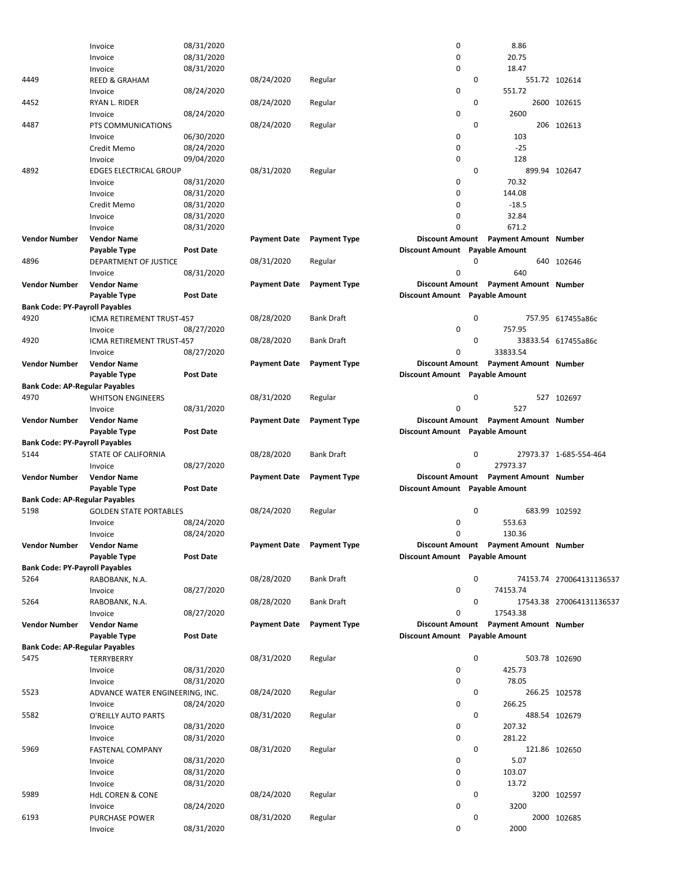|                                       | Invoice                         | 08/31/2020       |                                  |                     | 0                              |             | 8.86                                  |                          |
|---------------------------------------|---------------------------------|------------------|----------------------------------|---------------------|--------------------------------|-------------|---------------------------------------|--------------------------|
|                                       | Invoice                         | 08/31/2020       |                                  |                     | 0                              |             | 20.75                                 |                          |
|                                       | Invoice                         | 08/31/2020       |                                  |                     | 0                              |             | 18.47                                 |                          |
| 4449                                  | <b>REED &amp; GRAHAM</b>        |                  | 08/24/2020                       | Regular             |                                | 0           | 551.72 102614                         |                          |
|                                       |                                 |                  |                                  |                     |                                |             |                                       |                          |
|                                       | Invoice                         | 08/24/2020       |                                  |                     | 0                              |             | 551.72                                |                          |
| 4452                                  | <b>RYAN L. RIDER</b>            |                  | 08/24/2020                       | Regular             |                                | 0           |                                       | 2600 102615              |
|                                       | Invoice                         | 08/24/2020       |                                  |                     | 0                              |             | 2600                                  |                          |
| 4487                                  | PTS COMMUNICATIONS              |                  | 08/24/2020                       | Regular             |                                | 0           |                                       | 206 102613               |
|                                       | Invoice                         | 06/30/2020       |                                  |                     | 0                              |             | 103                                   |                          |
|                                       | Credit Memo                     | 08/24/2020       |                                  |                     | 0                              |             | $-25$                                 |                          |
|                                       |                                 |                  |                                  |                     |                                |             |                                       |                          |
|                                       | Invoice                         | 09/04/2020       |                                  |                     | 0                              |             | 128                                   |                          |
| 4892                                  | <b>EDGES ELECTRICAL GROUP</b>   |                  | 08/31/2020                       | Regular             |                                | 0           | 899.94 102647                         |                          |
|                                       | Invoice                         | 08/31/2020       |                                  |                     | 0                              |             | 70.32                                 |                          |
|                                       | Invoice                         | 08/31/2020       |                                  |                     | 0                              |             | 144.08                                |                          |
|                                       | Credit Memo                     | 08/31/2020       |                                  |                     | 0                              |             | $-18.5$                               |                          |
|                                       | Invoice                         | 08/31/2020       |                                  |                     | 0                              |             | 32.84                                 |                          |
|                                       |                                 |                  |                                  |                     |                                |             |                                       |                          |
|                                       | Invoice                         | 08/31/2020       |                                  |                     | 0                              |             | 671.2                                 |                          |
| <b>Vendor Number</b>                  | <b>Vendor Name</b>              |                  | <b>Payment Date</b>              | <b>Payment Type</b> |                                |             | Discount Amount Payment Amount Number |                          |
|                                       | Payable Type                    | <b>Post Date</b> |                                  |                     | Discount Amount Payable Amount |             |                                       |                          |
| 4896                                  | DEPARTMENT OF JUSTICE           |                  | 08/31/2020                       | Regular             |                                | 0           |                                       | 640 102646               |
|                                       | Invoice                         | 08/31/2020       |                                  |                     | 0                              |             | 640                                   |                          |
|                                       |                                 |                  |                                  |                     |                                |             |                                       |                          |
| <b>Vendor Number</b>                  | <b>Vendor Name</b>              |                  | <b>Payment Date</b>              | <b>Payment Type</b> |                                |             | Discount Amount Payment Amount Number |                          |
|                                       | Payable Type                    | Post Date        |                                  |                     | Discount Amount Payable Amount |             |                                       |                          |
| <b>Bank Code: PY-Payroll Payables</b> |                                 |                  |                                  |                     |                                |             |                                       |                          |
| 4920                                  | ICMA RETIREMENT TRUST-457       |                  | 08/28/2020                       | <b>Bank Draft</b>   |                                | 0           |                                       | 757.95 617455a86c        |
|                                       | Invoice                         | 08/27/2020       |                                  |                     | 0                              |             | 757.95                                |                          |
| 4920                                  | ICMA RETIREMENT TRUST-457       |                  | 08/28/2020                       | <b>Bank Draft</b>   |                                | 0           |                                       | 33833.54 617455a86c      |
|                                       |                                 |                  |                                  |                     | 0                              |             | 33833.54                              |                          |
|                                       | Invoice                         | 08/27/2020       |                                  |                     |                                |             |                                       |                          |
| <b>Vendor Number</b>                  | <b>Vendor Name</b>              |                  | <b>Payment Date</b>              | <b>Payment Type</b> |                                |             | Discount Amount Payment Amount Number |                          |
|                                       | Payable Type                    | Post Date        |                                  |                     | Discount Amount Payable Amount |             |                                       |                          |
| <b>Bank Code: AP-Regular Payables</b> |                                 |                  |                                  |                     |                                |             |                                       |                          |
| 4970                                  | <b>WHITSON ENGINEERS</b>        |                  | 08/31/2020                       | Regular             |                                | 0           |                                       | 527 102697               |
|                                       | Invoice                         | 08/31/2020       |                                  |                     | 0                              |             | 527                                   |                          |
|                                       |                                 |                  | <b>Payment Date</b>              | <b>Payment Type</b> |                                |             | Discount Amount Payment Amount Number |                          |
| <b>Vendor Number</b>                  | <b>Vendor Name</b>              |                  |                                  |                     |                                |             |                                       |                          |
|                                       |                                 |                  |                                  |                     |                                |             |                                       |                          |
|                                       | Payable Type                    | <b>Post Date</b> |                                  |                     | Discount Amount Payable Amount |             |                                       |                          |
| <b>Bank Code: PY-Payroll Payables</b> |                                 |                  |                                  |                     |                                |             |                                       |                          |
| 5144                                  | STATE OF CALIFORNIA             |                  | 08/28/2020                       | <b>Bank Draft</b>   |                                | 0           |                                       | 27973.37 1-685-554-464   |
|                                       |                                 |                  |                                  |                     | 0                              |             | 27973.37                              |                          |
|                                       | Invoice                         | 08/27/2020       |                                  |                     |                                |             |                                       |                          |
| <b>Vendor Number</b>                  | <b>Vendor Name</b>              |                  | <b>Payment Date</b>              | <b>Payment Type</b> |                                |             | Discount Amount Payment Amount Number |                          |
|                                       | Payable Type                    | <b>Post Date</b> |                                  |                     | Discount Amount Payable Amount |             |                                       |                          |
| <b>Bank Code: AP-Regular Payables</b> |                                 |                  |                                  |                     |                                |             |                                       |                          |
| 5198                                  | <b>GOLDEN STATE PORTABLES</b>   |                  | 08/24/2020                       | Regular             |                                | 0           | 683.99 102592                         |                          |
|                                       | Invoice                         | 08/24/2020       |                                  |                     | 0                              |             | 553.63                                |                          |
|                                       |                                 |                  |                                  |                     | 0                              |             | 130.36                                |                          |
|                                       | Invoice                         | 08/24/2020       |                                  |                     |                                |             |                                       |                          |
| Vendor Number                         | <b>Vendor Name</b>              |                  | <b>Payment Date</b> Payment Type |                     |                                |             | Discount Amount Payment Amount Number |                          |
|                                       | Payable Type                    | Post Date        |                                  |                     | Discount Amount Payable Amount |             |                                       |                          |
| <b>Bank Code: PY-Payroll Payables</b> |                                 |                  |                                  |                     |                                |             |                                       |                          |
| 5264                                  | RABOBANK, N.A.                  |                  | 08/28/2020                       | <b>Bank Draft</b>   |                                | 0           |                                       | 74153.74 270064131136537 |
|                                       | Invoice                         | 08/27/2020       |                                  |                     | 0                              |             | 74153.74                              |                          |
| 5264                                  |                                 |                  | 08/28/2020                       | Bank Draft          |                                | 0           |                                       |                          |
|                                       | RABOBANK, N.A.                  |                  |                                  |                     |                                |             |                                       | 17543.38 270064131136537 |
|                                       | Invoice                         | 08/27/2020       |                                  |                     | 0                              |             | 17543.38                              |                          |
| <b>Vendor Number</b>                  | <b>Vendor Name</b>              |                  | <b>Payment Date</b>              | <b>Payment Type</b> |                                |             | Discount Amount Payment Amount Number |                          |
|                                       | Payable Type                    | Post Date        |                                  |                     | Discount Amount Payable Amount |             |                                       |                          |
| <b>Bank Code: AP-Regular Payables</b> |                                 |                  |                                  |                     |                                |             |                                       |                          |
| 5475                                  | <b>TERRYBERRY</b>               |                  | 08/31/2020                       | Regular             |                                | $\mathbf 0$ | 503.78 102690                         |                          |
|                                       | Invoice                         | 08/31/2020       |                                  |                     | 0                              |             | 425.73                                |                          |
|                                       |                                 |                  |                                  |                     |                                |             |                                       |                          |
|                                       | Invoice                         | 08/31/2020       |                                  |                     | 0                              |             | 78.05                                 |                          |
| 5523                                  | ADVANCE WATER ENGINEERING, INC. |                  | 08/24/2020                       | Regular             |                                | 0           | 266.25 102578                         |                          |
|                                       | Invoice                         | 08/24/2020       |                                  |                     | 0                              |             | 266.25                                |                          |
| 5582                                  | O'REILLY AUTO PARTS             |                  | 08/31/2020                       | Regular             |                                | 0           | 488.54 102679                         |                          |
|                                       | Invoice                         | 08/31/2020       |                                  |                     | 0                              |             | 207.32                                |                          |
|                                       | Invoice                         | 08/31/2020       |                                  |                     | 0                              |             | 281.22                                |                          |
| 5969                                  |                                 |                  |                                  |                     |                                | 0           |                                       |                          |
|                                       | <b>FASTENAL COMPANY</b>         |                  | 08/31/2020                       | Regular             |                                |             | 121.86 102650                         |                          |
|                                       | Invoice                         | 08/31/2020       |                                  |                     | 0                              |             | 5.07                                  |                          |
|                                       | Invoice                         | 08/31/2020       |                                  |                     | 0                              |             | 103.07                                |                          |
|                                       | Invoice                         | 08/31/2020       |                                  |                     | 0                              |             | 13.72                                 |                          |
| 5989                                  | <b>HdL COREN &amp; CONE</b>     |                  | 08/24/2020                       | Regular             |                                | 0           |                                       | 3200 102597              |
|                                       | Invoice                         | 08/24/2020       |                                  |                     | 0                              |             | 3200                                  |                          |
|                                       |                                 |                  |                                  |                     |                                |             |                                       |                          |
| 6193                                  | PURCHASE POWER<br>Invoice       | 08/31/2020       | 08/31/2020                       | Regular             | 0                              | 0           | 2000                                  | 2000 102685              |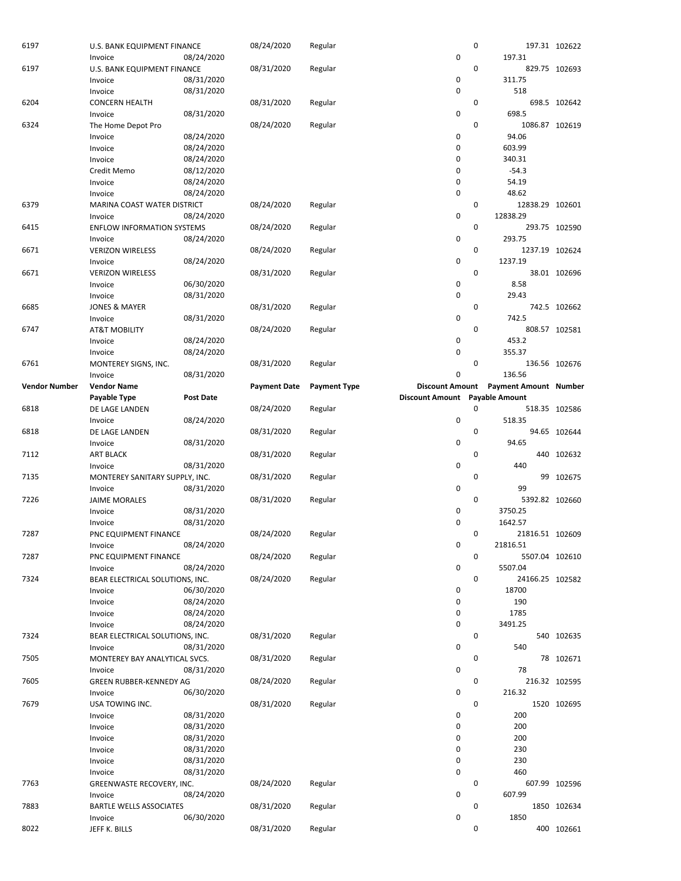| 6197                 | U.S. BANK EQUIPMENT FINANCE       |                  | 08/24/2020          | Regular             |                        | $\mathbf 0$ |                              | 197.31 102622 |
|----------------------|-----------------------------------|------------------|---------------------|---------------------|------------------------|-------------|------------------------------|---------------|
|                      | Invoice                           | 08/24/2020       |                     |                     | 0                      |             | 197.31                       |               |
| 6197                 | U.S. BANK EQUIPMENT FINANCE       |                  | 08/31/2020          | Regular             |                        | 0           |                              | 829.75 102693 |
|                      | Invoice                           | 08/31/2020       |                     |                     | 0                      |             | 311.75                       |               |
|                      | Invoice                           | 08/31/2020       |                     |                     | 0                      |             | 518                          |               |
| 6204                 | <b>CONCERN HEALTH</b>             |                  | 08/31/2020          | Regular             |                        | 0           |                              | 698.5 102642  |
|                      | Invoice                           | 08/31/2020       |                     |                     | 0                      |             | 698.5                        |               |
| 6324                 | The Home Depot Pro                |                  | 08/24/2020          | Regular             |                        | 0           | 1086.87 102619               |               |
|                      | Invoice                           | 08/24/2020       |                     |                     | 0                      |             | 94.06                        |               |
|                      | Invoice                           | 08/24/2020       |                     |                     | 0                      |             | 603.99                       |               |
|                      | Invoice                           | 08/24/2020       |                     |                     | 0                      |             | 340.31                       |               |
|                      |                                   | 08/12/2020       |                     |                     | 0                      |             | $-54.3$                      |               |
|                      | Credit Memo                       |                  |                     |                     |                        |             |                              |               |
|                      | Invoice                           | 08/24/2020       |                     |                     | 0                      |             | 54.19                        |               |
|                      | Invoice                           | 08/24/2020       |                     |                     | 0                      |             | 48.62                        |               |
| 6379                 | MARINA COAST WATER DISTRICT       |                  | 08/24/2020          | Regular             |                        | 0           | 12838.29 102601              |               |
|                      | Invoice                           | 08/24/2020       |                     |                     | 0                      |             | 12838.29                     |               |
| 6415                 | <b>ENFLOW INFORMATION SYSTEMS</b> |                  | 08/24/2020          | Regular             |                        | 0           |                              | 293.75 102590 |
|                      | Invoice                           | 08/24/2020       |                     |                     | 0                      |             | 293.75                       |               |
| 6671                 | <b>VERIZON WIRELESS</b>           |                  | 08/24/2020          | Regular             |                        | 0           | 1237.19 102624               |               |
|                      | Invoice                           | 08/24/2020       |                     |                     | 0                      |             | 1237.19                      |               |
| 6671                 | <b>VERIZON WIRELESS</b>           |                  | 08/31/2020          | Regular             |                        | 0           |                              | 38.01 102696  |
|                      | Invoice                           | 06/30/2020       |                     |                     | 0                      |             | 8.58                         |               |
|                      | Invoice                           | 08/31/2020       |                     |                     | 0                      |             | 29.43                        |               |
| 6685                 | <b>JONES &amp; MAYER</b>          |                  | 08/31/2020          | Regular             |                        | 0           |                              | 742.5 102662  |
|                      | Invoice                           | 08/31/2020       |                     |                     | 0                      |             | 742.5                        |               |
|                      |                                   |                  |                     |                     |                        | $\mathbf 0$ |                              |               |
| 6747                 | <b>AT&amp;T MOBILITY</b>          |                  | 08/24/2020          | Regular             |                        |             |                              | 808.57 102581 |
|                      | Invoice                           | 08/24/2020       |                     |                     | 0                      |             | 453.2                        |               |
|                      | Invoice                           | 08/24/2020       |                     |                     | 0                      |             | 355.37                       |               |
| 6761                 | MONTEREY SIGNS, INC.              |                  | 08/31/2020          | Regular             |                        | 0           |                              | 136.56 102676 |
|                      | Invoice                           | 08/31/2020       |                     |                     | 0                      |             | 136.56                       |               |
| <b>Vendor Number</b> | <b>Vendor Name</b>                |                  | <b>Payment Date</b> | <b>Payment Type</b> | <b>Discount Amount</b> |             | <b>Payment Amount Number</b> |               |
|                      | Payable Type                      | <b>Post Date</b> |                     |                     | <b>Discount Amount</b> |             | <b>Payable Amount</b>        |               |
| 6818                 | DE LAGE LANDEN                    |                  | 08/24/2020          | Regular             |                        | 0           |                              | 518.35 102586 |
|                      | Invoice                           | 08/24/2020       |                     |                     | 0                      |             | 518.35                       |               |
| 6818                 | DE LAGE LANDEN                    |                  | 08/31/2020          | Regular             |                        | 0           |                              | 94.65 102644  |
|                      |                                   |                  |                     |                     |                        |             | 94.65                        |               |
|                      |                                   |                  |                     |                     |                        |             |                              |               |
|                      | Invoice                           | 08/31/2020       |                     |                     | 0                      |             |                              |               |
| 7112                 | <b>ART BLACK</b>                  |                  | 08/31/2020          | Regular             |                        | 0           | 440                          | 102632        |
|                      | Invoice                           | 08/31/2020       |                     |                     | 0                      |             | 440                          |               |
| 7135                 | MONTEREY SANITARY SUPPLY, INC.    |                  | 08/31/2020          | Regular             |                        | 0           |                              | 99 102675     |
|                      | Invoice                           | 08/31/2020       |                     |                     | 0                      |             | 99                           |               |
| 7226                 | <b>JAIME MORALES</b>              |                  | 08/31/2020          | Regular             |                        | 0           | 5392.82 102660               |               |
|                      | Invoice                           | 08/31/2020       |                     |                     | 0                      |             | 3750.25                      |               |
|                      | Invoice                           | 08/31/2020       |                     |                     | $\mathbf 0$            |             | 1642.57                      |               |
| 7287                 | PNC EQUIPMENT FINANCE             |                  | 08/24/2020          | Regular             |                        | 0           | 21816.51 102609              |               |
|                      | Invoice                           | 08/24/2020       |                     |                     | 0                      |             | 21816.51                     |               |
| 7287                 | PNC EQUIPMENT FINANCE             |                  | 08/24/2020          | Regular             |                        | 0           | 5507.04 102610               |               |
|                      | Invoice                           | 08/24/2020       |                     |                     | 0                      |             | 5507.04                      |               |
| 7324                 | BEAR ELECTRICAL SOLUTIONS, INC.   |                  | 08/24/2020          | Regular             |                        | $\mathbf 0$ | 24166.25 102582              |               |
|                      |                                   |                  |                     |                     |                        |             | 18700                        |               |
|                      | Invoice                           | 06/30/2020       |                     |                     | 0                      |             |                              |               |
|                      | Invoice                           | 08/24/2020       |                     |                     | 0                      |             | 190                          |               |
|                      | Invoice                           | 08/24/2020       |                     |                     | 0                      |             | 1785                         |               |
|                      | Invoice                           | 08/24/2020       |                     |                     | 0                      |             | 3491.25                      |               |
| 7324                 | BEAR ELECTRICAL SOLUTIONS, INC.   |                  | 08/31/2020          | Regular             |                        | 0           |                              | 540 102635    |
|                      | Invoice                           | 08/31/2020       |                     |                     | 0                      |             | 540                          |               |
| 7505                 | MONTEREY BAY ANALYTICAL SVCS.     |                  | 08/31/2020          | Regular             |                        | 0           |                              | 78 102671     |
|                      | Invoice                           | 08/31/2020       |                     |                     | 0                      |             | 78                           |               |
| 7605                 | GREEN RUBBER-KENNEDY AG           |                  | 08/24/2020          | Regular             |                        | 0           |                              | 216.32 102595 |
|                      | Invoice                           | 06/30/2020       |                     |                     | 0                      |             | 216.32                       |               |
| 7679                 | USA TOWING INC.                   |                  | 08/31/2020          | Regular             |                        | 0           |                              | 1520 102695   |
|                      | Invoice                           | 08/31/2020       |                     |                     | 0                      |             | 200                          |               |
|                      | Invoice                           | 08/31/2020       |                     |                     | 0                      |             | 200                          |               |
|                      | Invoice                           | 08/31/2020       |                     |                     | 0                      |             | 200                          |               |
|                      | Invoice                           | 08/31/2020       |                     |                     | 0                      |             | 230                          |               |
|                      | Invoice                           | 08/31/2020       |                     |                     | 0                      |             | 230                          |               |
|                      |                                   |                  |                     |                     | 0                      |             | 460                          |               |
|                      | Invoice                           | 08/31/2020       |                     |                     |                        |             |                              |               |
| 7763                 | GREENWASTE RECOVERY, INC.         |                  | 08/24/2020          | Regular             |                        | 0           |                              | 607.99 102596 |
|                      | Invoice                           | 08/24/2020       |                     |                     | 0                      |             | 607.99                       |               |
| 7883                 | <b>BARTLE WELLS ASSOCIATES</b>    |                  | 08/31/2020          | Regular             |                        | 0           |                              | 1850 102634   |
| 8022                 | Invoice<br>JEFF K. BILLS          | 06/30/2020       | 08/31/2020          | Regular             | 0                      | 0           | 1850                         | 400 102661    |